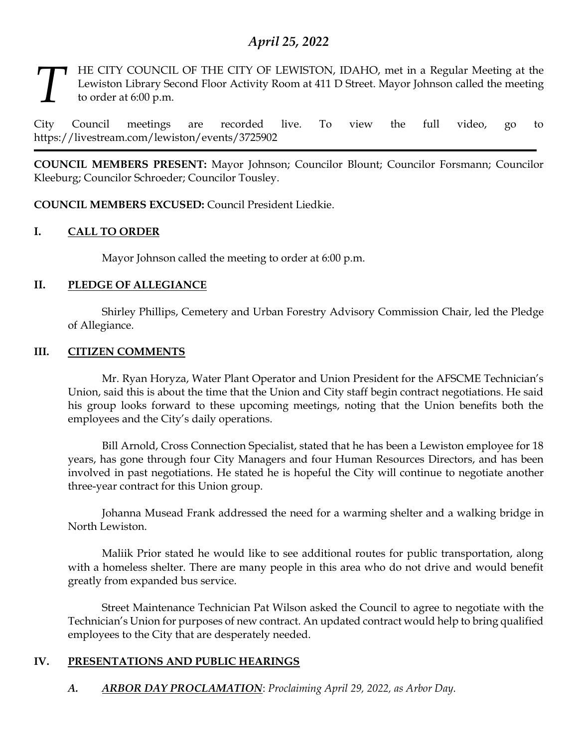# *April 25, 2022*

## HE CITY COUNCIL OF THE CITY OF LEWISTON, IDAHO, met in a Regular Meeting at the Lewiston Library Second Floor Activity Room at 411 D Street. Mayor Johnson called the meeting to order at 6:00 p.m. *T*

City Council meetings are recorded live. To view the full video, go to https://livestream.com/lewiston/events/3725902

**COUNCIL MEMBERS PRESENT:** Mayor Johnson; Councilor Blount; Councilor Forsmann; Councilor Kleeburg; Councilor Schroeder; Councilor Tousley.

**COUNCIL MEMBERS EXCUSED:** Council President Liedkie.

# **I. CALL TO ORDER**

Mayor Johnson called the meeting to order at 6:00 p.m.

## **II. PLEDGE OF ALLEGIANCE**

Shirley Phillips, Cemetery and Urban Forestry Advisory Commission Chair, led the Pledge of Allegiance.

## **III. CITIZEN COMMENTS**

Mr. Ryan Horyza, Water Plant Operator and Union President for the AFSCME Technician's Union, said this is about the time that the Union and City staff begin contract negotiations. He said his group looks forward to these upcoming meetings, noting that the Union benefits both the employees and the City's daily operations.

Bill Arnold, Cross Connection Specialist, stated that he has been a Lewiston employee for 18 years, has gone through four City Managers and four Human Resources Directors, and has been involved in past negotiations. He stated he is hopeful the City will continue to negotiate another three-year contract for this Union group.

Johanna Musead Frank addressed the need for a warming shelter and a walking bridge in North Lewiston.

Maliik Prior stated he would like to see additional routes for public transportation, along with a homeless shelter. There are many people in this area who do not drive and would benefit greatly from expanded bus service.

Street Maintenance Technician Pat Wilson asked the Council to agree to negotiate with the Technician's Union for purposes of new contract. An updated contract would help to bring qualified employees to the City that are desperately needed.

# **IV. PRESENTATIONS AND PUBLIC HEARINGS**

*A. ARBOR DAY PROCLAMATION*: *Proclaiming April 29, 2022, as Arbor Day.*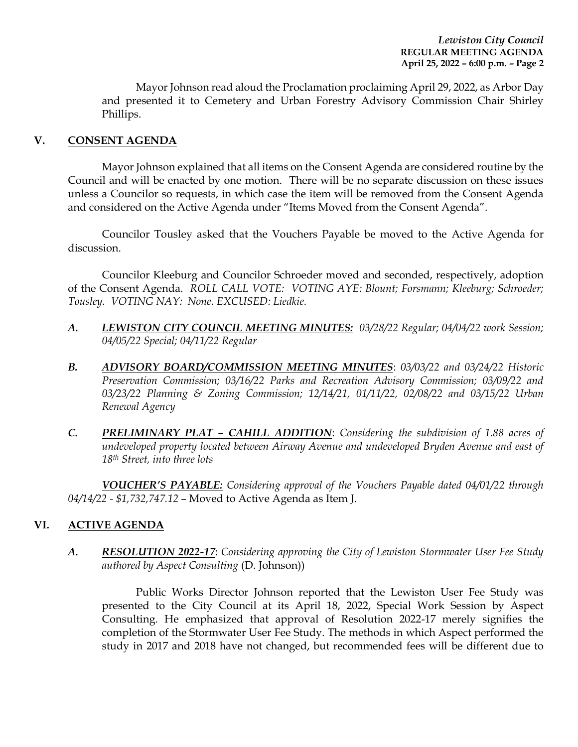Mayor Johnson read aloud the Proclamation proclaiming April 29, 2022, as Arbor Day and presented it to Cemetery and Urban Forestry Advisory Commission Chair Shirley Phillips.

#### **V. CONSENT AGENDA**

Mayor Johnson explained that all items on the Consent Agenda are considered routine by the Council and will be enacted by one motion. There will be no separate discussion on these issues unless a Councilor so requests, in which case the item will be removed from the Consent Agenda and considered on the Active Agenda under "Items Moved from the Consent Agenda".

Councilor Tousley asked that the Vouchers Payable be moved to the Active Agenda for discussion.

Councilor Kleeburg and Councilor Schroeder moved and seconded, respectively, adoption of the Consent Agenda. *ROLL CALL VOTE: VOTING AYE: Blount; Forsmann; Kleeburg; Schroeder; Tousley. VOTING NAY: None. EXCUSED: Liedkie.*

- *A. LEWISTON CITY COUNCIL MEETING MINUTES: 03/28/22 Regular; 04/04/22 work Session; 04/05/22 Special; 04/11/22 Regular*
- *B. ADVISORY BOARD/COMMISSION MEETING MINUTES*: *03/03/22 and 03/24/22 Historic Preservation Commission; 03/16/22 Parks and Recreation Advisory Commission; 03/09/22 and 03/23/22 Planning & Zoning Commission; 12/14/21, 01/11/22, 02/08/22 and 03/15/22 Urban Renewal Agency*
- *C. PRELIMINARY PLAT – CAHILL ADDITION*: *Considering the subdivision of 1.88 acres of undeveloped property located between Airway Avenue and undeveloped Bryden Avenue and east of 18th Street, into three lots*

*VOUCHER'S PAYABLE: Considering approval of the Vouchers Payable dated 04/01/22 through 04/14/22 - \$1,732,747.12* – Moved to Active Agenda as Item J.

## **VI. ACTIVE AGENDA**

*A. RESOLUTION 2022-17*: *Considering approving the City of Lewiston Stormwater User Fee Study authored by Aspect Consulting* (D. Johnson))

Public Works Director Johnson reported that the Lewiston User Fee Study was presented to the City Council at its April 18, 2022, Special Work Session by Aspect Consulting. He emphasized that approval of Resolution 2022-17 merely signifies the completion of the Stormwater User Fee Study. The methods in which Aspect performed the study in 2017 and 2018 have not changed, but recommended fees will be different due to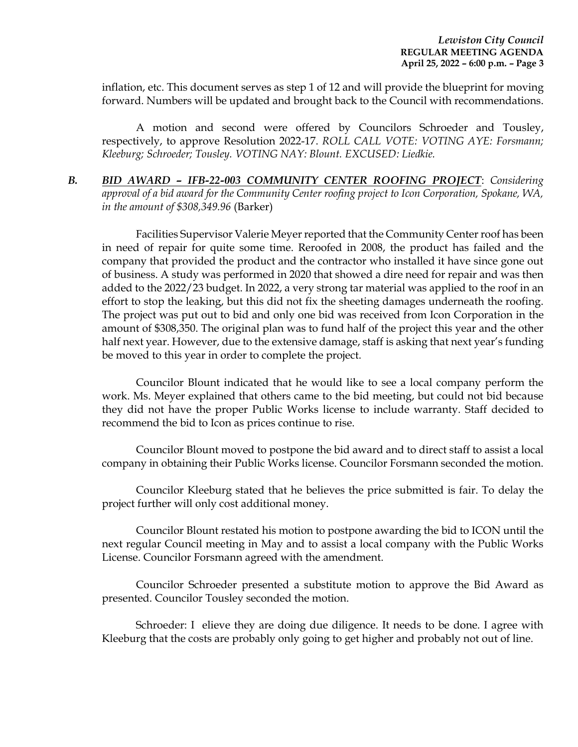inflation, etc. This document serves as step 1 of 12 and will provide the blueprint for moving forward. Numbers will be updated and brought back to the Council with recommendations.

A motion and second were offered by Councilors Schroeder and Tousley, respectively, to approve Resolution 2022-17. *ROLL CALL VOTE: VOTING AYE: Forsmann; Kleeburg; Schroeder; Tousley. VOTING NAY: Blount. EXCUSED: Liedkie.* 

*B. BID AWARD – IFB-22-003 COMMUNITY CENTER ROOFING PROJECT*: *Considering approval of a bid award for the Community Center roofing project to Icon Corporation, Spokane, WA, in the amount of \$308,349.96* (Barker)

Facilities Supervisor Valerie Meyer reported that the Community Center roof has been in need of repair for quite some time. Reroofed in 2008, the product has failed and the company that provided the product and the contractor who installed it have since gone out of business. A study was performed in 2020 that showed a dire need for repair and was then added to the 2022/23 budget. In 2022, a very strong tar material was applied to the roof in an effort to stop the leaking, but this did not fix the sheeting damages underneath the roofing. The project was put out to bid and only one bid was received from Icon Corporation in the amount of \$308,350. The original plan was to fund half of the project this year and the other half next year. However, due to the extensive damage, staff is asking that next year's funding be moved to this year in order to complete the project.

Councilor Blount indicated that he would like to see a local company perform the work. Ms. Meyer explained that others came to the bid meeting, but could not bid because they did not have the proper Public Works license to include warranty. Staff decided to recommend the bid to Icon as prices continue to rise.

Councilor Blount moved to postpone the bid award and to direct staff to assist a local company in obtaining their Public Works license. Councilor Forsmann seconded the motion.

Councilor Kleeburg stated that he believes the price submitted is fair. To delay the project further will only cost additional money.

Councilor Blount restated his motion to postpone awarding the bid to ICON until the next regular Council meeting in May and to assist a local company with the Public Works License. Councilor Forsmann agreed with the amendment.

Councilor Schroeder presented a substitute motion to approve the Bid Award as presented. Councilor Tousley seconded the motion.

Schroeder: I elieve they are doing due diligence. It needs to be done. I agree with Kleeburg that the costs are probably only going to get higher and probably not out of line.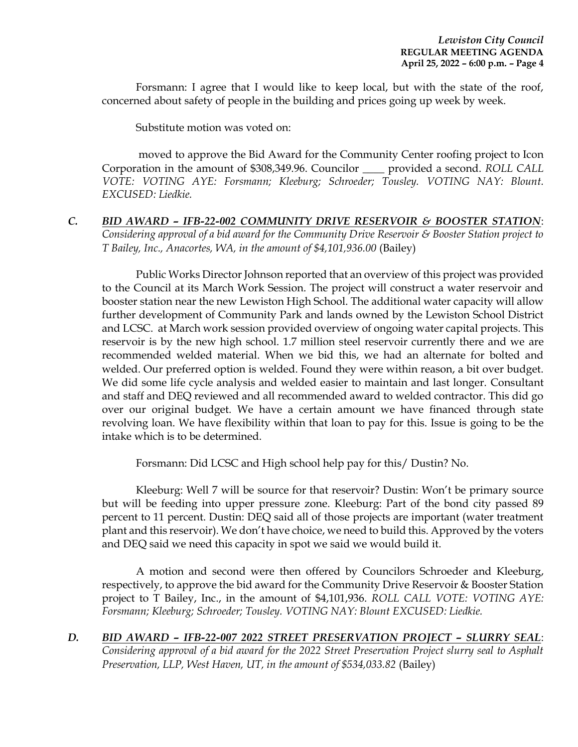Forsmann: I agree that I would like to keep local, but with the state of the roof, concerned about safety of people in the building and prices going up week by week.

Substitute motion was voted on:

moved to approve the Bid Award for the Community Center roofing project to Icon Corporation in the amount of \$308,349.96. Councilor \_\_\_\_ provided a second. *ROLL CALL VOTE: VOTING AYE: Forsmann; Kleeburg; Schroeder; Tousley. VOTING NAY: Blount. EXCUSED: Liedkie.*

*C. BID AWARD – IFB-22-002 COMMUNITY DRIVE RESERVOIR & BOOSTER STATION*: *Considering approval of a bid award for the Community Drive Reservoir & Booster Station project to T Bailey, Inc., Anacortes, WA, in the amount of \$4,101,936.00* (Bailey)

Public Works Director Johnson reported that an overview of this project was provided to the Council at its March Work Session. The project will construct a water reservoir and booster station near the new Lewiston High School. The additional water capacity will allow further development of Community Park and lands owned by the Lewiston School District and LCSC. at March work session provided overview of ongoing water capital projects. This reservoir is by the new high school. 1.7 million steel reservoir currently there and we are recommended welded material. When we bid this, we had an alternate for bolted and welded. Our preferred option is welded. Found they were within reason, a bit over budget. We did some life cycle analysis and welded easier to maintain and last longer. Consultant and staff and DEQ reviewed and all recommended award to welded contractor. This did go over our original budget. We have a certain amount we have financed through state revolving loan. We have flexibility within that loan to pay for this. Issue is going to be the intake which is to be determined.

Forsmann: Did LCSC and High school help pay for this/ Dustin? No.

Kleeburg: Well 7 will be source for that reservoir? Dustin: Won't be primary source but will be feeding into upper pressure zone. Kleeburg: Part of the bond city passed 89 percent to 11 percent. Dustin: DEQ said all of those projects are important (water treatment plant and this reservoir). We don't have choice, we need to build this. Approved by the voters and DEQ said we need this capacity in spot we said we would build it.

A motion and second were then offered by Councilors Schroeder and Kleeburg, respectively, to approve the bid award for the Community Drive Reservoir & Booster Station project to T Bailey, Inc., in the amount of \$4,101,936. *ROLL CALL VOTE: VOTING AYE: Forsmann; Kleeburg; Schroeder; Tousley. VOTING NAY: Blount EXCUSED: Liedkie.*

*D. BID AWARD – IFB-22-007 2022 STREET PRESERVATION PROJECT – SLURRY SEAL*: *Considering approval of a bid award for the 2022 Street Preservation Project slurry seal to Asphalt Preservation, LLP, West Haven, UT, in the amount of \$534,033.82* (Bailey)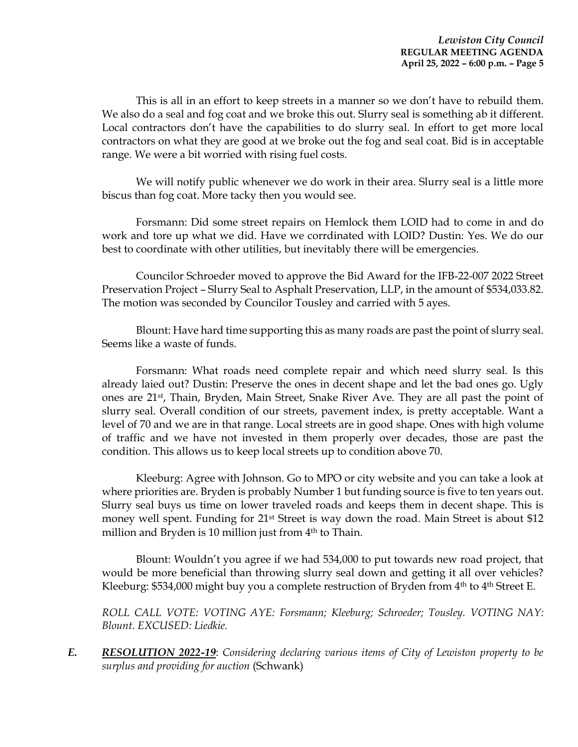This is all in an effort to keep streets in a manner so we don't have to rebuild them. We also do a seal and fog coat and we broke this out. Slurry seal is something ab it different. Local contractors don't have the capabilities to do slurry seal. In effort to get more local contractors on what they are good at we broke out the fog and seal coat. Bid is in acceptable range. We were a bit worried with rising fuel costs.

We will notify public whenever we do work in their area. Slurry seal is a little more biscus than fog coat. More tacky then you would see.

Forsmann: Did some street repairs on Hemlock them LOID had to come in and do work and tore up what we did. Have we corrdinated with LOID? Dustin: Yes. We do our best to coordinate with other utilities, but inevitably there will be emergencies.

Councilor Schroeder moved to approve the Bid Award for the IFB-22-007 2022 Street Preservation Project – Slurry Seal to Asphalt Preservation, LLP, in the amount of \$534,033.82. The motion was seconded by Councilor Tousley and carried with 5 ayes.

Blount: Have hard time supporting this as many roads are past the point of slurry seal. Seems like a waste of funds.

Forsmann: What roads need complete repair and which need slurry seal. Is this already laied out? Dustin: Preserve the ones in decent shape and let the bad ones go. Ugly ones are 21st, Thain, Bryden, Main Street, Snake River Ave. They are all past the point of slurry seal. Overall condition of our streets, pavement index, is pretty acceptable. Want a level of 70 and we are in that range. Local streets are in good shape. Ones with high volume of traffic and we have not invested in them properly over decades, those are past the condition. This allows us to keep local streets up to condition above 70.

Kleeburg: Agree with Johnson. Go to MPO or city website and you can take a look at where priorities are. Bryden is probably Number 1 but funding source is five to ten years out. Slurry seal buys us time on lower traveled roads and keeps them in decent shape. This is money well spent. Funding for 21<sup>st</sup> Street is way down the road. Main Street is about \$12 million and Bryden is 10 million just from  $4<sup>th</sup>$  to Thain.

Blount: Wouldn't you agree if we had 534,000 to put towards new road project, that would be more beneficial than throwing slurry seal down and getting it all over vehicles? Kleeburg: \$534,000 might buy you a complete restruction of Bryden from  $4<sup>th</sup>$  to  $4<sup>th</sup>$  Street E.

*ROLL CALL VOTE: VOTING AYE: Forsmann; Kleeburg; Schroeder; Tousley. VOTING NAY: Blount. EXCUSED: Liedkie.*

*E. RESOLUTION 2022-19*: *Considering declaring various items of City of Lewiston property to be surplus and providing for auction* (Schwank)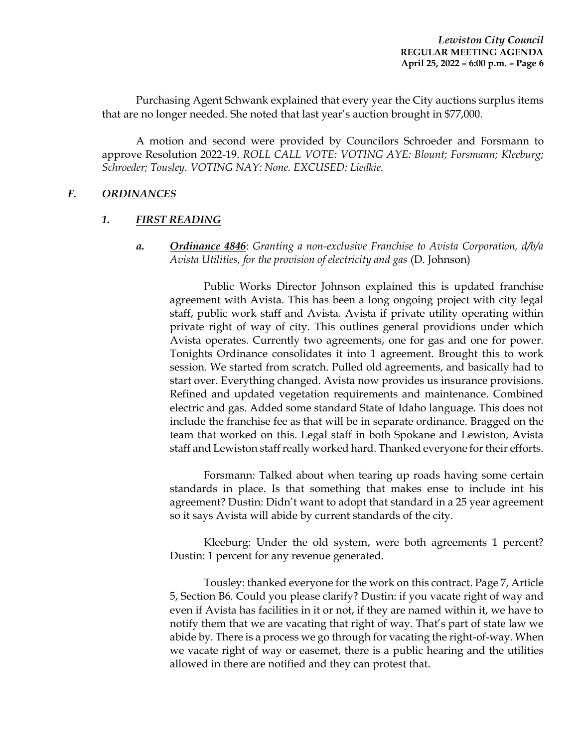Purchasing Agent Schwank explained that every year the City auctions surplus items that are no longer needed. She noted that last year's auction brought in \$77,000.

A motion and second were provided by Councilors Schroeder and Forsmann to approve Resolution 2022-19. *ROLL CALL VOTE: VOTING AYE: Blount; Forsmann; Kleeburg; Schroeder; Tousley. VOTING NAY: None. EXCUSED: Liedkie.*

## *F. ORDINANCES*

## *1. FIRST READING*

*a. Ordinance 4846*: *Granting a non-exclusive Franchise to Avista Corporation, d/b/a Avista Utilities, for the provision of electricity and gas* (D. Johnson)

Public Works Director Johnson explained this is updated franchise agreement with Avista. This has been a long ongoing project with city legal staff, public work staff and Avista. Avista if private utility operating within private right of way of city. This outlines general providions under which Avista operates. Currently two agreements, one for gas and one for power. Tonights Ordinance consolidates it into 1 agreement. Brought this to work session. We started from scratch. Pulled old agreements, and basically had to start over. Everything changed. Avista now provides us insurance provisions. Refined and updated vegetation requirements and maintenance. Combined electric and gas. Added some standard State of Idaho language. This does not include the franchise fee as that will be in separate ordinance. Bragged on the team that worked on this. Legal staff in both Spokane and Lewiston, Avista staff and Lewiston staff really worked hard. Thanked everyone for their efforts.

Forsmann: Talked about when tearing up roads having some certain standards in place. Is that something that makes ense to include int his agreement? Dustin: Didn't want to adopt that standard in a 25 year agreement so it says Avista will abide by current standards of the city.

Kleeburg: Under the old system, were both agreements 1 percent? Dustin: 1 percent for any revenue generated.

Tousley: thanked everyone for the work on this contract. Page 7, Article 5, Section B6. Could you please clarify? Dustin: if you vacate right of way and even if Avista has facilities in it or not, if they are named within it, we have to notify them that we are vacating that right of way. That's part of state law we abide by. There is a process we go through for vacating the right-of-way. When we vacate right of way or easemet, there is a public hearing and the utilities allowed in there are notified and they can protest that.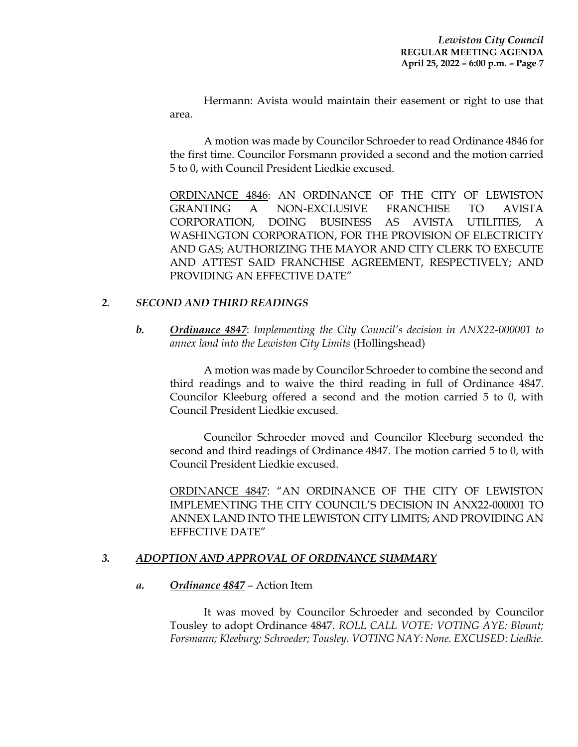Hermann: Avista would maintain their easement or right to use that area.

A motion was made by Councilor Schroeder to read Ordinance 4846 for the first time. Councilor Forsmann provided a second and the motion carried 5 to 0, with Council President Liedkie excused.

ORDINANCE 4846: AN ORDINANCE OF THE CITY OF LEWISTON GRANTING A NON-EXCLUSIVE FRANCHISE TO AVISTA CORPORATION, DOING BUSINESS AS AVISTA UTILITIES, A WASHINGTON CORPORATION, FOR THE PROVISION OF ELECTRICITY AND GAS; AUTHORIZING THE MAYOR AND CITY CLERK TO EXECUTE AND ATTEST SAID FRANCHISE AGREEMENT, RESPECTIVELY; AND PROVIDING AN EFFECTIVE DATE"

## *2. SECOND AND THIRD READINGS*

*b. Ordinance 4847*: *Implementing the City Council's decision in ANX22-000001 to annex land into the Lewiston City Limits* (Hollingshead)

A motion was made by Councilor Schroeder to combine the second and third readings and to waive the third reading in full of Ordinance 4847. Councilor Kleeburg offered a second and the motion carried 5 to 0, with Council President Liedkie excused.

Councilor Schroeder moved and Councilor Kleeburg seconded the second and third readings of Ordinance 4847. The motion carried 5 to 0, with Council President Liedkie excused.

ORDINANCE 4847: "AN ORDINANCE OF THE CITY OF LEWISTON IMPLEMENTING THE CITY COUNCIL'S DECISION IN ANX22-000001 TO ANNEX LAND INTO THE LEWISTON CITY LIMITS; AND PROVIDING AN EFFECTIVE DATE"

## *3. ADOPTION AND APPROVAL OF ORDINANCE SUMMARY*

#### *a. Ordinance 4847* – Action Item

It was moved by Councilor Schroeder and seconded by Councilor Tousley to adopt Ordinance 4847. *ROLL CALL VOTE: VOTING AYE: Blount; Forsmann; Kleeburg; Schroeder; Tousley. VOTING NAY: None. EXCUSED: Liedkie.*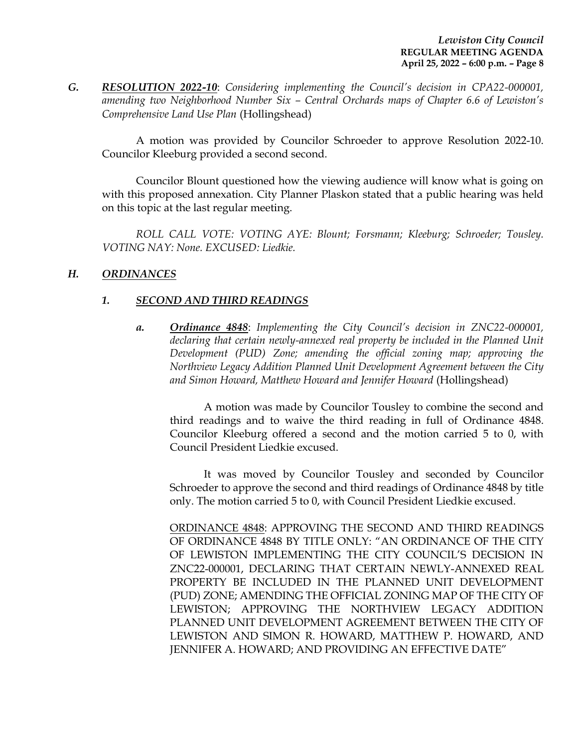*G. RESOLUTION 2022-10*: *Considering implementing the Council's decision in CPA22-000001, amending two Neighborhood Number Six – Central Orchards maps of Chapter 6.6 of Lewiston's Comprehensive Land Use Plan* (Hollingshead)

A motion was provided by Councilor Schroeder to approve Resolution 2022-10. Councilor Kleeburg provided a second second.

Councilor Blount questioned how the viewing audience will know what is going on with this proposed annexation. City Planner Plaskon stated that a public hearing was held on this topic at the last regular meeting.

*ROLL CALL VOTE: VOTING AYE: Blount; Forsmann; Kleeburg; Schroeder; Tousley. VOTING NAY: None. EXCUSED: Liedkie.*

## *H. ORDINANCES*

## *1. SECOND AND THIRD READINGS*

*a. Ordinance 4848*: *Implementing the City Council's decision in ZNC22-000001, declaring that certain newly-annexed real property be included in the Planned Unit Development (PUD) Zone; amending the official zoning map; approving the Northview Legacy Addition Planned Unit Development Agreement between the City and Simon Howard, Matthew Howard and Jennifer Howard* (Hollingshead)

A motion was made by Councilor Tousley to combine the second and third readings and to waive the third reading in full of Ordinance 4848. Councilor Kleeburg offered a second and the motion carried 5 to 0, with Council President Liedkie excused.

It was moved by Councilor Tousley and seconded by Councilor Schroeder to approve the second and third readings of Ordinance 4848 by title only. The motion carried 5 to 0, with Council President Liedkie excused.

ORDINANCE 4848: APPROVING THE SECOND AND THIRD READINGS OF ORDINANCE 4848 BY TITLE ONLY: "AN ORDINANCE OF THE CITY OF LEWISTON IMPLEMENTING THE CITY COUNCIL'S DECISION IN ZNC22-000001, DECLARING THAT CERTAIN NEWLY-ANNEXED REAL PROPERTY BE INCLUDED IN THE PLANNED UNIT DEVELOPMENT (PUD) ZONE; AMENDING THE OFFICIAL ZONING MAP OF THE CITY OF LEWISTON; APPROVING THE NORTHVIEW LEGACY ADDITION PLANNED UNIT DEVELOPMENT AGREEMENT BETWEEN THE CITY OF LEWISTON AND SIMON R. HOWARD, MATTHEW P. HOWARD, AND JENNIFER A. HOWARD; AND PROVIDING AN EFFECTIVE DATE"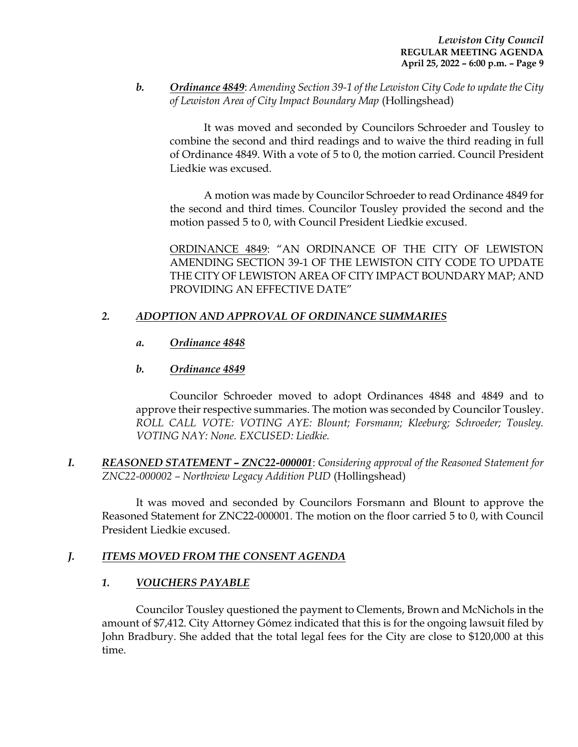*b. Ordinance 4849*: *Amending Section 39-1 of the Lewiston City Code to update the City of Lewiston Area of City Impact Boundary Map* (Hollingshead)

It was moved and seconded by Councilors Schroeder and Tousley to combine the second and third readings and to waive the third reading in full of Ordinance 4849. With a vote of 5 to 0, the motion carried. Council President Liedkie was excused.

A motion was made by Councilor Schroeder to read Ordinance 4849 for the second and third times. Councilor Tousley provided the second and the motion passed 5 to 0, with Council President Liedkie excused.

ORDINANCE 4849: "AN ORDINANCE OF THE CITY OF LEWISTON AMENDING SECTION 39-1 OF THE LEWISTON CITY CODE TO UPDATE THE CITY OF LEWISTON AREA OF CITY IMPACT BOUNDARY MAP; AND PROVIDING AN EFFECTIVE DATE"

## *2. ADOPTION AND APPROVAL OF ORDINANCE SUMMARIES*

## *a. Ordinance 4848*

## *b. Ordinance 4849*

Councilor Schroeder moved to adopt Ordinances 4848 and 4849 and to approve their respective summaries. The motion was seconded by Councilor Tousley. *ROLL CALL VOTE: VOTING AYE: Blount; Forsmann; Kleeburg; Schroeder; Tousley. VOTING NAY: None. EXCUSED: Liedkie.*

*I. REASONED STATEMENT – ZNC22-000001*: *Considering approval of the Reasoned Statement for ZNC22-000002 – Northview Legacy Addition PUD* (Hollingshead)

It was moved and seconded by Councilors Forsmann and Blount to approve the Reasoned Statement for ZNC22-000001. The motion on the floor carried 5 to 0, with Council President Liedkie excused.

## *J. ITEMS MOVED FROM THE CONSENT AGENDA*

## *1. VOUCHERS PAYABLE*

Councilor Tousley questioned the payment to Clements, Brown and McNichols in the amount of \$7,412. City Attorney Gómez indicated that this is for the ongoing lawsuit filed by John Bradbury. She added that the total legal fees for the City are close to \$120,000 at this time.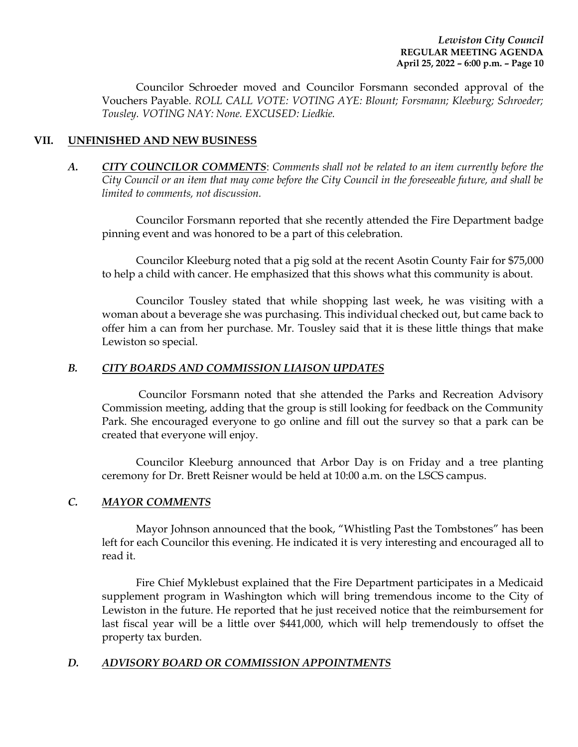Councilor Schroeder moved and Councilor Forsmann seconded approval of the Vouchers Payable. *ROLL CALL VOTE: VOTING AYE: Blount; Forsmann; Kleeburg; Schroeder; Tousley. VOTING NAY: None. EXCUSED: Liedkie.* 

## **VII. UNFINISHED AND NEW BUSINESS**

*A. CITY COUNCILOR COMMENTS*: *Comments shall not be related to an item currently before the City Council or an item that may come before the City Council in the foreseeable future, and shall be limited to comments, not discussion.*

Councilor Forsmann reported that she recently attended the Fire Department badge pinning event and was honored to be a part of this celebration.

Councilor Kleeburg noted that a pig sold at the recent Asotin County Fair for \$75,000 to help a child with cancer. He emphasized that this shows what this community is about.

Councilor Tousley stated that while shopping last week, he was visiting with a woman about a beverage she was purchasing. This individual checked out, but came back to offer him a can from her purchase. Mr. Tousley said that it is these little things that make Lewiston so special.

#### *B. CITY BOARDS AND COMMISSION LIAISON UPDATES*

Councilor Forsmann noted that she attended the Parks and Recreation Advisory Commission meeting, adding that the group is still looking for feedback on the Community Park. She encouraged everyone to go online and fill out the survey so that a park can be created that everyone will enjoy.

Councilor Kleeburg announced that Arbor Day is on Friday and a tree planting ceremony for Dr. Brett Reisner would be held at 10:00 a.m. on the LSCS campus.

#### *C. MAYOR COMMENTS*

Mayor Johnson announced that the book, "Whistling Past the Tombstones" has been left for each Councilor this evening. He indicated it is very interesting and encouraged all to read it.

Fire Chief Myklebust explained that the Fire Department participates in a Medicaid supplement program in Washington which will bring tremendous income to the City of Lewiston in the future. He reported that he just received notice that the reimbursement for last fiscal year will be a little over \$441,000, which will help tremendously to offset the property tax burden.

#### *D. ADVISORY BOARD OR COMMISSION APPOINTMENTS*